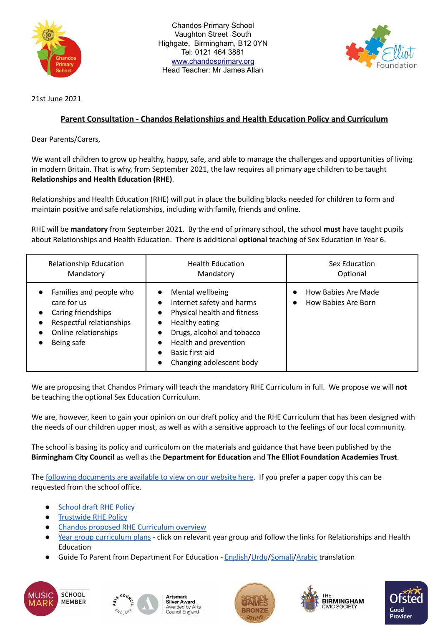

Chandos Primary School Vaughton Street South Highgate, Birmingham, B12 0YN Tel: 0121 464 3881 [www.chandosprimary.org](http://www.chandosprimary.org) Head Teacher: Mr James Allan



21st June 2021

## **Parent Consultation - Chandos Relationships and Health Education Policy and Curriculum**

Dear Parents/Carers,

We want all children to grow up healthy, happy, safe, and able to manage the challenges and opportunities of living in modern Britain. That is why, from September 2021, the law requires all primary age children to be taught **Relationships and Health Education (RHE)**.

Relationships and Health Education (RHE) will put in place the building blocks needed for children to form and maintain positive and safe relationships, including with family, friends and online.

RHE will be **mandatory** from September 2021. By the end of primary school, the school **must** have taught pupils about Relationships and Health Education. There is additional **optional** teaching of Sex Education in Year 6.

| <b>Relationship Education</b>                                                                                                                                                                   | <b>Health Education</b>                                                                                                                                                                                                                                                                         | Sex Education                              |
|-------------------------------------------------------------------------------------------------------------------------------------------------------------------------------------------------|-------------------------------------------------------------------------------------------------------------------------------------------------------------------------------------------------------------------------------------------------------------------------------------------------|--------------------------------------------|
| Mandatory                                                                                                                                                                                       | Mandatory                                                                                                                                                                                                                                                                                       | Optional                                   |
| Families and people who<br>$\bullet$<br>care for us<br>Caring friendships<br>$\bullet$<br>Respectful relationships<br>$\bullet$<br>Online relationships<br>$\bullet$<br>Being safe<br>$\bullet$ | Mental wellbeing<br>$\bullet$<br>Internet safety and harms<br>$\bullet$<br>Physical health and fitness<br>$\bullet$<br>Healthy eating<br>$\bullet$<br>Drugs, alcohol and tobacco<br>$\bullet$<br>Health and prevention<br>$\bullet$<br>Basic first aid<br>Changing adolescent body<br>$\bullet$ | How Babies Are Made<br>How Babies Are Born |

We are proposing that Chandos Primary will teach the mandatory RHE Curriculum in full. We propose we will **not** be teaching the optional Sex Education Curriculum.

We are, however, keen to gain your opinion on our draft policy and the RHE Curriculum that has been designed with the needs of our children upper most, as well as with a sensitive approach to the feelings of our local community.

The school is basing its policy and curriculum on the materials and guidance that have been published by the **Birmingham City Council** as well as the **Department for Education** and **The Elliot Foundation Academies Trust**.

The following [documents](https://www.chandos.bham.sch.uk/page/?title=Relationships+Education+Conusltation+June+2021&pid=176&action=saved) are available to view on our website here. If you prefer a paper copy this can be requested from the school office.

- **[School](https://www.chandos.bham.sch.uk/_site/data/files/documents/9DCCF4AE5A6A0CD76D61F367A8C54902.pdf) draft RHE Policy**
- **[Trustwide](https://d180ur4pf89izg.cloudfront.net/uploads/asset/attachment/5492/9._Approved_TEFAT_Relationships_and_Health_Education_Policy_2021.pdf) RHE Policy**
- Chandos proposed RHE [Curriculum](https://www.chandos.bham.sch.uk/_site/data/files/documents/B2024292BA61E2A7BC3100DEB942C5B1.pdf) overview
- Year group [curriculum](https://www.chandos.bham.sch.uk/page/?title=Relationships+Education+Conusltation+June+2021&pid=176) plans click on relevant year group and follow the links for Relationships and Health Education
- Guide To Parent from Department For Education [English/](https://www.chandos.bham.sch.uk/_site/data/files/documents/36EAF644AD71B39E3B8BDB60911E595A.pdf)[Urdu](https://www.chandos.bham.sch.uk/_site/data/files/documents/A962D075E20579F1E780ADA2807B35A7.pdf)/[Somali/](https://www.chandos.bham.sch.uk/_site/data/files/documents/7C2A38DB59E50E7EBC73D78233C21237.pdf)[Arabic](https://www.chandos.bham.sch.uk/_site/data/files/documents/6E94AA407E7B04DE9E82AD94A54CAE92.pdf) translation











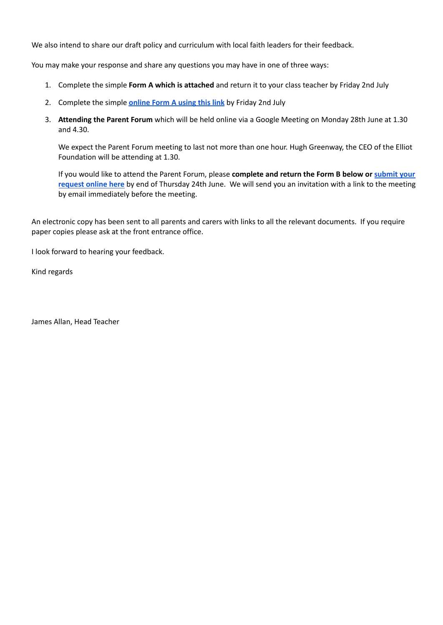We also intend to share our draft policy and curriculum with local faith leaders for their feedback.

You may make your response and share any questions you may have in one of three ways:

- 1. Complete the simple **Form A which is attached** and return it to your class teacher by Friday 2nd July
- 2. Complete the simple **[online](https://docs.google.com/forms/d/e/1FAIpQLSfDGNihwk8dSpwhGMnySCSEacKrIAhgG-8nf9x5ApL9d-hirQ/viewform?usp=sf_link) Form A using this link** by Friday 2nd July
- 3. **Attending the Parent Forum** which will be held online via a Google Meeting on Monday 28th June at 1.30 and 4.30.

We expect the Parent Forum meeting to last not more than one hour. Hugh Greenway, the CEO of the Elliot Foundation will be attending at 1.30.

If you would like to attend the Parent Forum, please **complete and return the Form B below or [submit](https://docs.google.com/forms/d/e/1FAIpQLSd8r6sgHxSdyG9OUJMscT6x7v0xnM6K5yEYWO-reqzCWUHa9w/viewform?usp=sf_link) your [request](https://docs.google.com/forms/d/e/1FAIpQLSd8r6sgHxSdyG9OUJMscT6x7v0xnM6K5yEYWO-reqzCWUHa9w/viewform?usp=sf_link) online here** by end of Thursday 24th June. We will send you an invitation with a link to the meeting by email immediately before the meeting.

An electronic copy has been sent to all parents and carers with links to all the relevant documents. If you require paper copies please ask at the front entrance office.

I look forward to hearing your feedback.

Kind regards

James Allan, Head Teacher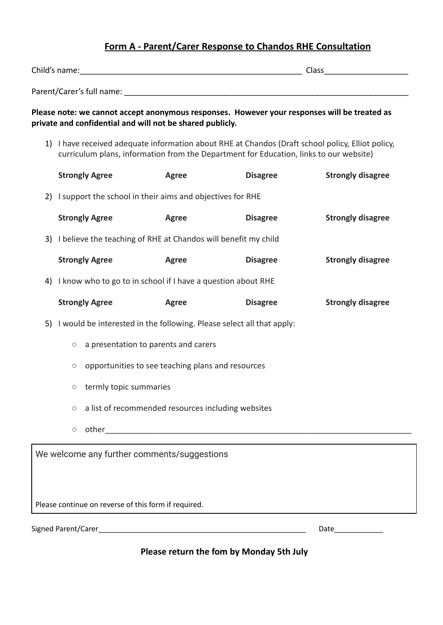# **Form A - Parent/Carer Response to Chandos RHE Consultation**

| Child's name:                                                                                                                                                                               |              | Class <u>__________</u> |                          |  |
|---------------------------------------------------------------------------------------------------------------------------------------------------------------------------------------------|--------------|-------------------------|--------------------------|--|
|                                                                                                                                                                                             |              |                         |                          |  |
| Please note: we cannot accept anonymous responses. However your responses will be treated as<br>private and confidential and will not be shared publicly.                                   |              |                         |                          |  |
| 1) I have received adequate information about RHE at Chandos (Draft school policy, Elliot policy,<br>curriculum plans, information from the Department for Education, links to our website) |              |                         |                          |  |
| <b>Strongly Agree</b>                                                                                                                                                                       | <b>Agree</b> | <b>Disagree</b>         | <b>Strongly disagree</b> |  |
| 2) I support the school in their aims and objectives for RHE                                                                                                                                |              |                         |                          |  |
| <b>Strongly Agree</b>                                                                                                                                                                       | <b>Agree</b> | <b>Disagree</b>         | <b>Strongly disagree</b> |  |
| 3) I believe the teaching of RHE at Chandos will benefit my child                                                                                                                           |              |                         |                          |  |
| <b>Strongly Agree</b>                                                                                                                                                                       | Agree        | <b>Disagree</b>         | <b>Strongly disagree</b> |  |
| 4) I know who to go to in school if I have a question about RHE                                                                                                                             |              |                         |                          |  |
| <b>Strongly Agree</b>                                                                                                                                                                       | <b>Agree</b> | <b>Disagree</b>         | <b>Strongly disagree</b> |  |
| 5) I would be interested in the following. Please select all that apply:                                                                                                                    |              |                         |                          |  |
| $\circ$ a presentation to parents and carers                                                                                                                                                |              |                         |                          |  |
| opportunities to see teaching plans and resources<br>$\circ$                                                                                                                                |              |                         |                          |  |
| $\circ$ termly topic summaries                                                                                                                                                              |              |                         |                          |  |
| a list of recommended resources including websites<br>$\bigcirc$                                                                                                                            |              |                         |                          |  |
| $\circ$                                                                                                                                                                                     |              |                         |                          |  |
| We welcome any further comments/suggestions                                                                                                                                                 |              |                         |                          |  |
| Please continue on reverse of this form if required.                                                                                                                                        |              |                         |                          |  |
|                                                                                                                                                                                             |              |                         | Date                     |  |

**Please return the fom by Monday 5th July**